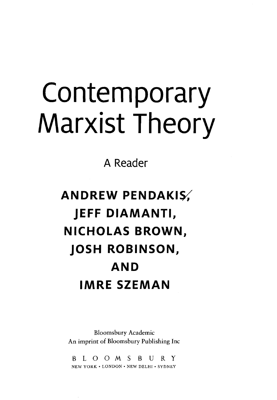# Contemporary Marxist Theory

A Reader

### ANDREW PENDAKI&/ JEFF DIAMANTI, NICHOLAS BROWN, JOSH ROBINSON, AND IMRE SZEMAN

Bloomsbury Academic An imprint of Bloomsbury Publishing Inc

BLOOMSBURY NEW YORK • LONDON • NEW DELHI • SYDNEY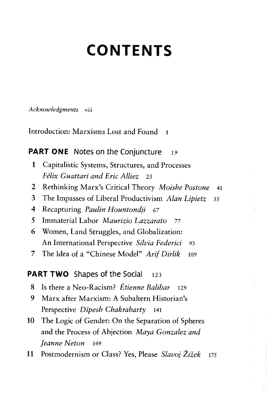## CONTENTS

*Acknowledgments* viii

Introduction: Marxisms Lost and Found 1

**PART ONE** Notes on the Conjuncture 19

- 1 Capitalistic Systems, Structures, and Processes *Felix Guattari and Eric Alliez* 25
- 2 Rethinking Marx's Critical Theory *Moishe Postone*  41
- 3 The Impasses of Liberal Productivism *Alan Lipietz*  55
- 4 Recapturing *Paulin Hountondji* 67
- 5 Immaterial Labor *Maurizio Lazzarato* 77
- 6 Women, Land Struggles, and Globalization: An International Perspective *Silvia Federici* 93
- 7 The Idea of a "Chinese Model" *ArifDirlik* 109

**PART TWO** Shapes of the Social 123

- 8 Is there a Neo-Racism? *Etienne Balibar* 129
- 9 Marx after Marxism: A Subaltern Historian's Perspective *Dipesh Chakrabarty* 141
- 10 The Logic of Gender: On the Separation of Spheres and the Process of Abjection *Maya Gonzalez and Jeanne Neton* 149
- 11 Postmodernism or Class? Yes, Please *Slavoj Zizek* 1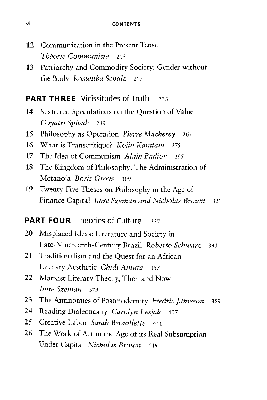- 12 Communization in the Present Tense *Theorie Communiste* 203
- 13 Patriarchy and Commodity Society: Gender without the Body *Roswitha Scholz* 217

#### **PART THREE** Vicissitudes of Truth 233

- 14 Scattered Speculations on the Question of Value *Gayatri Spivak* 239
- 15 Philosophy as Operation *Pierre Macherey* 261
- 16 What is Transcritique? *Kojin Karatani 275*
- 17 The Idea of Communism *Alain Badiou* 295
- 18 The Kingdom of Philosophy: The Administration of Metanoia *Boris Groys* 309
- 19 Twenty-Five Theses on Philosophy in the Age of Finance Capital *Imre Szeman and Nicholas Brown* 321

#### **PART FOUR Theories of Culture 337**

- 20 Misplaced Ideas: Literature and Society in Late-Nineteenth-Century Brazil *Roberto Schwarz* 343
- 21 Traditionalism and the Quest for an African Literary Aesthetic C*hidi Amuta* 357
- 22 Marxist Literary Theory, Then and Now *Imre Szeman* 379
- 23 The Antinomies of Postmodernity *Fredric Jameson* 389
- 24 Reading Dialectically *Carolyn Lesjak* 407
- 25 Creative Labor *Sarah Brouillette* 441
- 26 The Work of Art in the Age of its Real Subsumption Under Capital *Nicholas Brown* 449